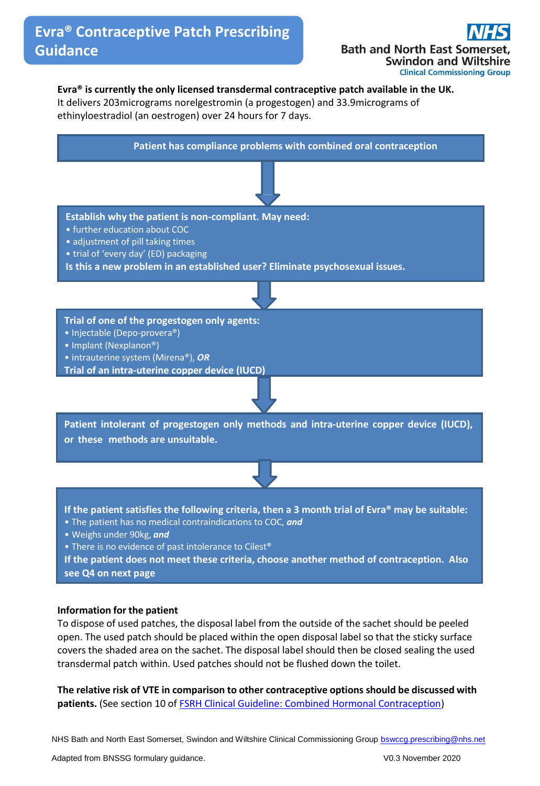**Bath and North East Son Swindon and Wiltshire Clinical Commissioning Group** 

## **Evra® is currently the only licensed transdermal contraceptive patch available in the UK.**

It delivers 203micrograms norelgestromin (a progestogen) and 33.9micrograms of ethinyloestradiol (an oestrogen) over 24 hours for 7 days.



### **Information for the patient**

To dispose of used patches, the disposal label from the outside of the sachet should be peeled open. The used patch should be placed within the open disposal label so that the sticky surface covers the shaded area on the sachet. The disposal label should then be closed sealing the used transdermal patch within. Used patches should not be flushed down the toilet.

**The relative risk of VTE in comparison to other contraceptive options should be discussed with** patients. (See section 10 of **FSRH Clinical Guideline: Combined Hormonal Contraception**)

NHS Bath and North East Somerset, Swindon and Wiltshire Clinical Commissioning Group **bswccg.prescribing@nhs.net**